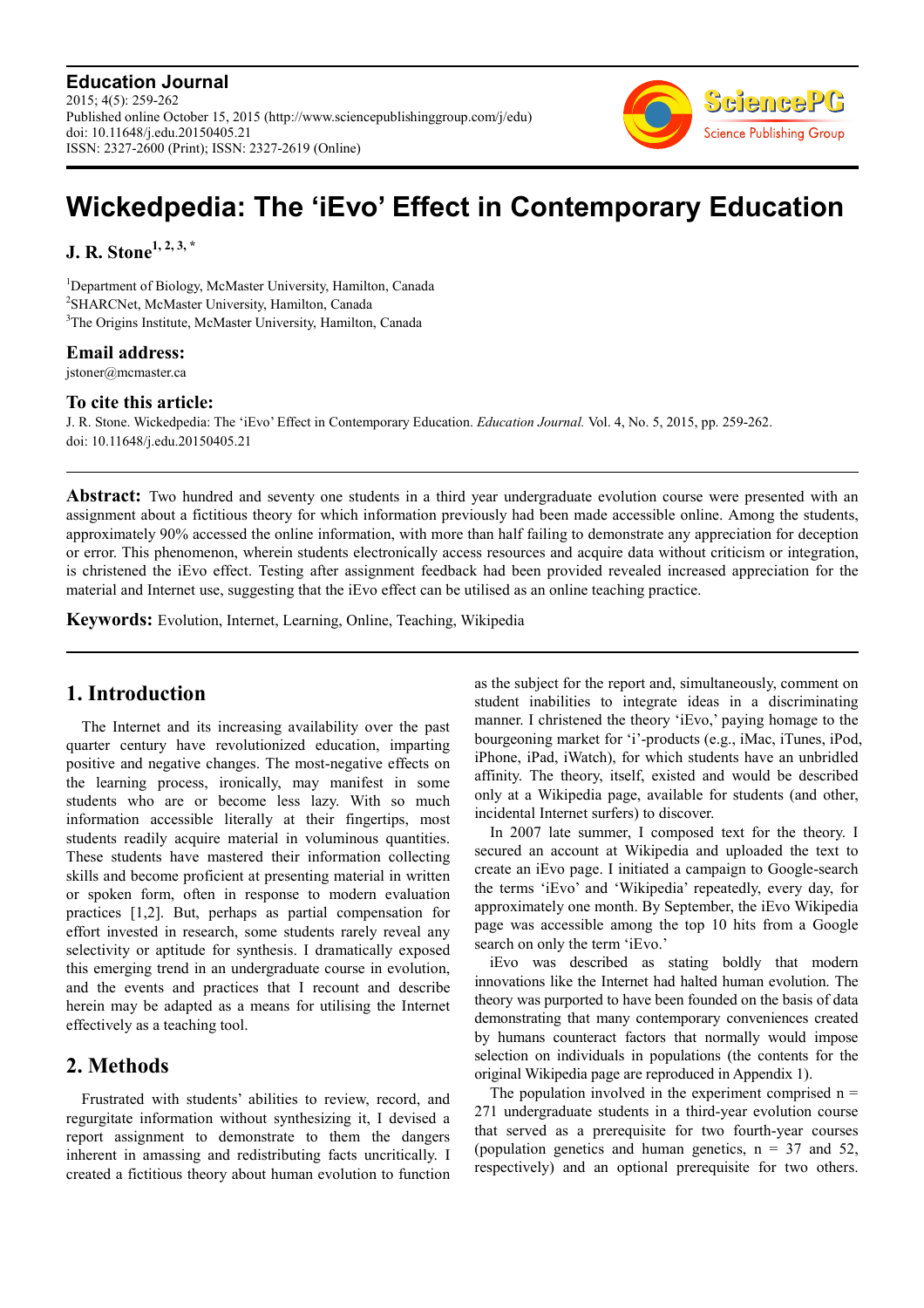**Education Journal** 2015; 4(5): 259-262 Published online October 15, 2015 (http://www.sciencepublishinggroup.com/j/edu) doi: 10.11648/j.edu.20150405.21 ISSN: 2327-2600 (Print); ISSN: 2327-2619 (Online)



# **Wickedpedia: The 'iEvo' Effect in Contemporary Education**

**J. R. Stone1, 2, 3, \***

<sup>1</sup>Department of Biology, McMaster University, Hamilton, Canada <sup>2</sup>SHARCNet, McMaster University, Hamilton, Canada <sup>3</sup>The Origins Institute, McMaster University, Hamilton, Canada

#### **Email address:**

jstoner@mcmaster.ca

#### **To cite this article:**

J. R. Stone. Wickedpedia: The 'iEvo' Effect in Contemporary Education. *Education Journal.* Vol. 4, No. 5, 2015, pp. 259-262. doi: 10.11648/j.edu.20150405.21

Abstract: Two hundred and seventy one students in a third year undergraduate evolution course were presented with an assignment about a fictitious theory for which information previously had been made accessible online. Among the students, approximately 90% accessed the online information, with more than half failing to demonstrate any appreciation for deception or error. This phenomenon, wherein students electronically access resources and acquire data without criticism or integration, is christened the iEvo effect. Testing after assignment feedback had been provided revealed increased appreciation for the material and Internet use, suggesting that the iEvo effect can be utilised as an online teaching practice.

**Keywords:** Evolution, Internet, Learning, Online, Teaching, Wikipedia

# **1. Introduction**

The Internet and its increasing availability over the past quarter century have revolutionized education, imparting positive and negative changes. The most-negative effects on the learning process, ironically, may manifest in some students who are or become less lazy. With so much information accessible literally at their fingertips, most students readily acquire material in voluminous quantities. These students have mastered their information collecting skills and become proficient at presenting material in written or spoken form, often in response to modern evaluation practices [1,2]. But, perhaps as partial compensation for effort invested in research, some students rarely reveal any selectivity or aptitude for synthesis. I dramatically exposed this emerging trend in an undergraduate course in evolution, and the events and practices that I recount and describe herein may be adapted as a means for utilising the Internet effectively as a teaching tool.

# **2. Methods**

Frustrated with students' abilities to review, record, and regurgitate information without synthesizing it, I devised a report assignment to demonstrate to them the dangers inherent in amassing and redistributing facts uncritically. I created a fictitious theory about human evolution to function

as the subject for the report and, simultaneously, comment on student inabilities to integrate ideas in a discriminating manner. I christened the theory 'iEvo,' paying homage to the bourgeoning market for 'i'-products (e.g., iMac, iTunes, iPod, iPhone, iPad, iWatch), for which students have an unbridled affinity. The theory, itself, existed and would be described only at a Wikipedia page, available for students (and other, incidental Internet surfers) to discover.

In 2007 late summer, I composed text for the theory. I secured an account at Wikipedia and uploaded the text to create an iEvo page. I initiated a campaign to Google-search the terms 'iEvo' and 'Wikipedia' repeatedly, every day, for approximately one month. By September, the iEvo Wikipedia page was accessible among the top 10 hits from a Google search on only the term 'iEvo.'

iEvo was described as stating boldly that modern innovations like the Internet had halted human evolution. The theory was purported to have been founded on the basis of data demonstrating that many contemporary conveniences created by humans counteract factors that normally would impose selection on individuals in populations (the contents for the original Wikipedia page are reproduced in Appendix 1).

The population involved in the experiment comprised  $n =$ 271 undergraduate students in a third-year evolution course that served as a prerequisite for two fourth-year courses (population genetics and human genetics,  $n = 37$  and 52, respectively) and an optional prerequisite for two others.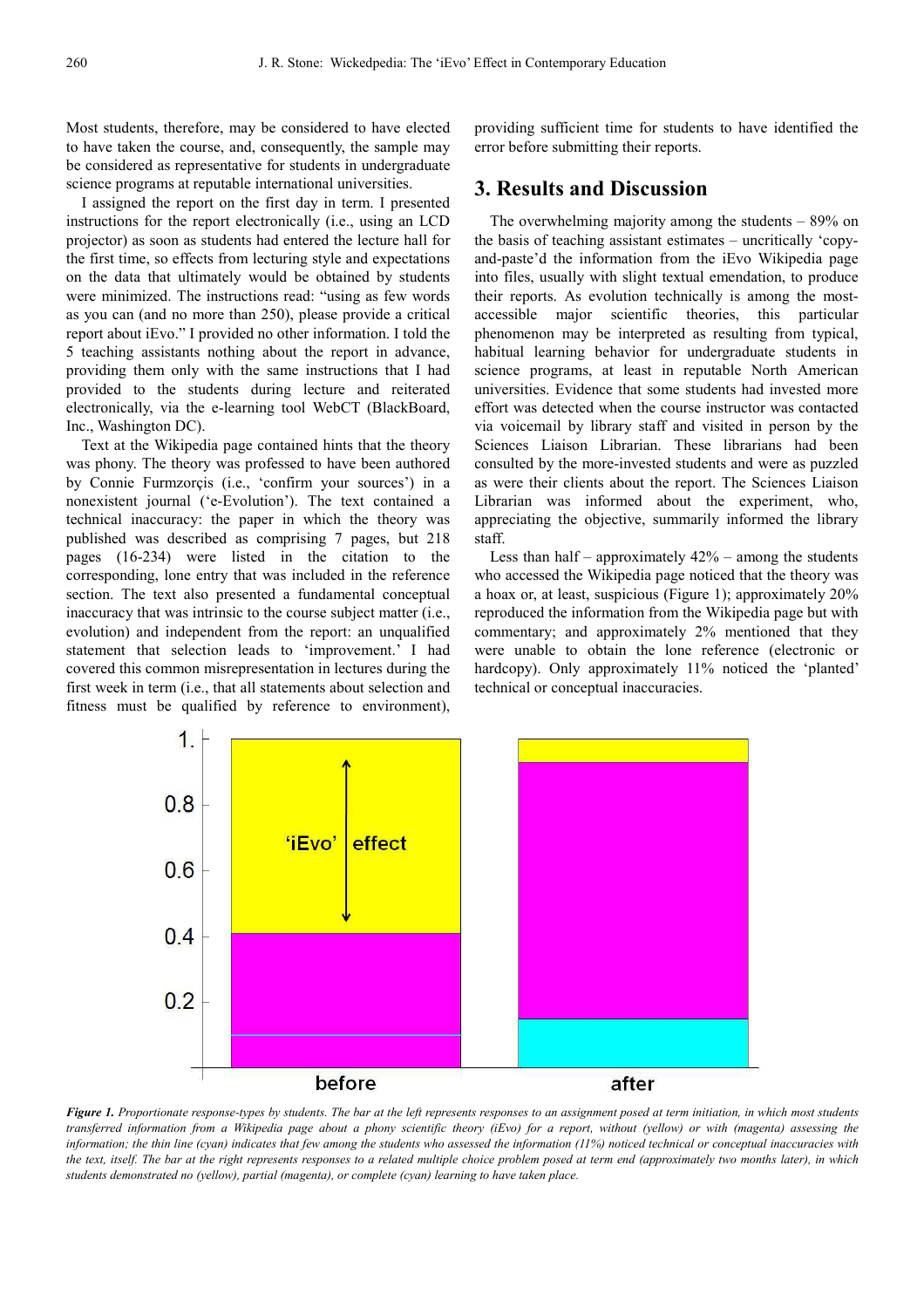Most students, therefore, may be considered to have elected to have taken the course, and, consequently, the sample may be considered as representative for students in undergraduate science programs at reputable international universities.

I assigned the report on the first day in term. I presented instructions for the report electronically (i.e., using an LCD projector) as soon as students had entered the lecture hall for the first time, so effects from lecturing style and expectations on the data that ultimately would be obtained by students were minimized. The instructions read: "using as few words as you can (and no more than 250), please provide a critical report about iEvo." I provided no other information. I told the 5 teaching assistants nothing about the report in advance, providing them only with the same instructions that I had provided to the students during lecture and reiterated electronically, via the e-learning tool WebCT (BlackBoard, Inc., Washington DC).

Text at the Wikipedia page contained hints that the theory was phony. The theory was professed to have been authored by Connie Furmzorçis (i.e., 'confirm your sources') in a nonexistent journal ('e-Evolution'). The text contained a technical inaccuracy: the paper in which the theory was published was described as comprising 7 pages, but 218 pages (16-234) were listed in the citation to the corresponding, lone entry that was included in the reference section. The text also presented a fundamental conceptual inaccuracy that was intrinsic to the course subject matter (i.e., evolution) and independent from the report: an unqualified statement that selection leads to 'improvement.' I had covered this common misrepresentation in lectures during the first week in term (i.e., that all statements about selection and fitness must be qualified by reference to environment),

providing sufficient time for students to have identified the error before submitting their reports.

## **3. Results and Discussion**

The overwhelming majority among the students – 89% on the basis of teaching assistant estimates – uncritically 'copyand-paste'd the information from the iEvo Wikipedia page into files, usually with slight textual emendation, to produce their reports. As evolution technically is among the mostaccessible major scientific theories, this particular phenomenon may be interpreted as resulting from typical, habitual learning behavior for undergraduate students in science programs, at least in reputable North American universities. Evidence that some students had invested more effort was detected when the course instructor was contacted via voicemail by library staff and visited in person by the Sciences Liaison Librarian. These librarians had been consulted by the more-invested students and were as puzzled as were their clients about the report. The Sciences Liaison Librarian was informed about the experiment, who, appreciating the objective, summarily informed the library staff.

Less than half – approximately  $42\%$  – among the students who accessed the Wikipedia page noticed that the theory was a hoax or, at least, suspicious (Figure 1); approximately 20% reproduced the information from the Wikipedia page but with commentary; and approximately 2% mentioned that they were unable to obtain the lone reference (electronic or hardcopy). Only approximately 11% noticed the 'planted' technical or conceptual inaccuracies.



*Figure 1. Proportionate response-types by students. The bar at the left represents responses to an assignment posed at term initiation, in which most students transferred information from a Wikipedia page about a phony scientific theory (iEvo) for a report, without (yellow) or with (magenta) assessing the information; the thin line (cyan) indicates that few among the students who assessed the information (11%) noticed technical or conceptual inaccuracies with the text, itself. The bar at the right represents responses to a related multiple choice problem posed at term end (approximately two months later), in which students demonstrated no (yellow), partial (magenta), or complete (cyan) learning to have taken place.*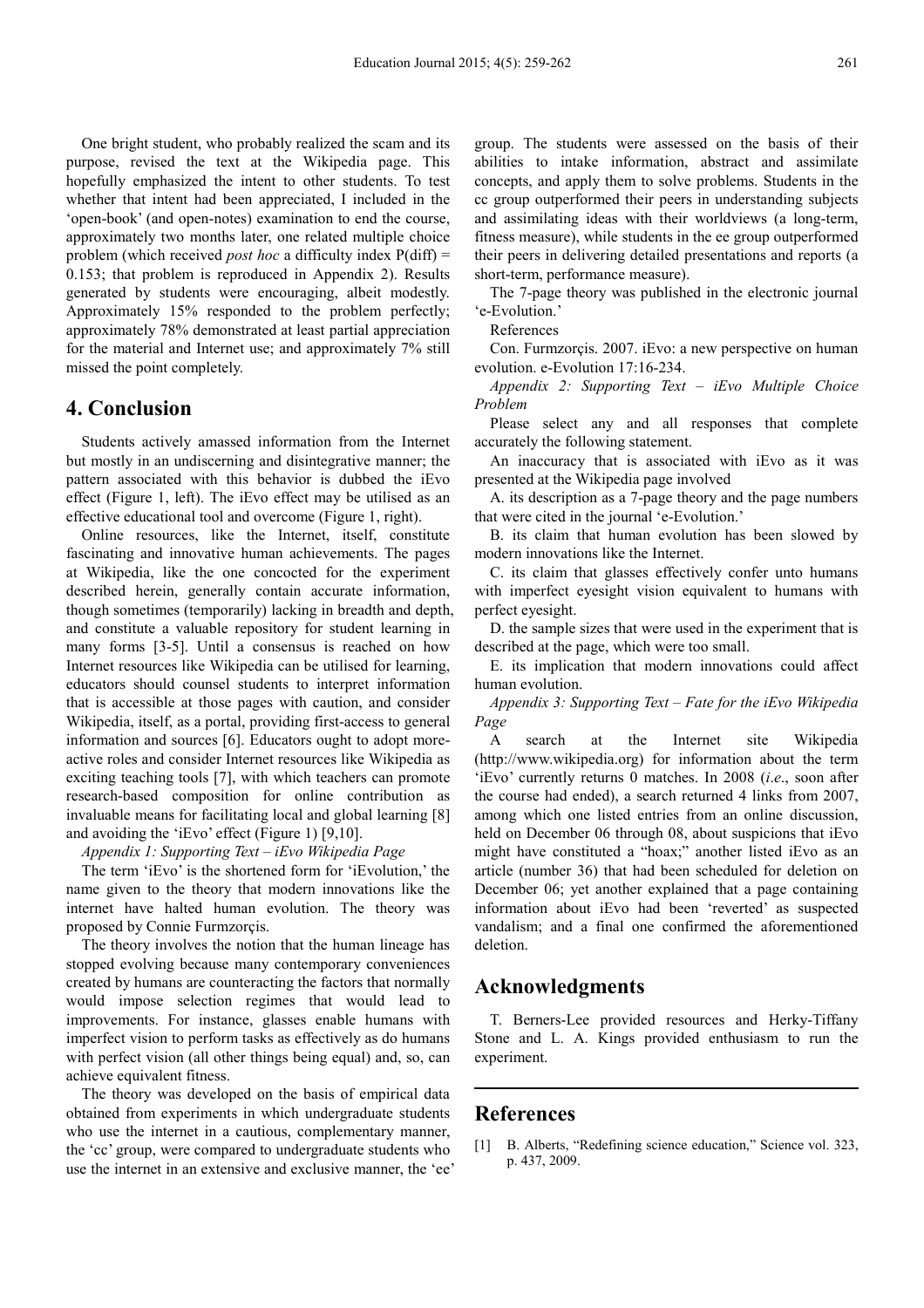One bright student, who probably realized the scam and its purpose, revised the text at the Wikipedia page. This hopefully emphasized the intent to other students. To test whether that intent had been appreciated, I included in the 'open-book' (and open-notes) examination to end the course, approximately two months later, one related multiple choice problem (which received *post hoc* a difficulty index P(diff) = 0.153; that problem is reproduced in Appendix 2). Results generated by students were encouraging, albeit modestly. Approximately 15% responded to the problem perfectly; approximately 78% demonstrated at least partial appreciation for the material and Internet use; and approximately 7% still missed the point completely.

# **4. Conclusion**

Students actively amassed information from the Internet but mostly in an undiscerning and disintegrative manner; the pattern associated with this behavior is dubbed the iEvo effect (Figure 1, left). The iEvo effect may be utilised as an effective educational tool and overcome (Figure 1, right).

Online resources, like the Internet, itself, constitute fascinating and innovative human achievements. The pages at Wikipedia, like the one concocted for the experiment described herein, generally contain accurate information, though sometimes (temporarily) lacking in breadth and depth, and constitute a valuable repository for student learning in many forms [3-5]. Until a consensus is reached on how Internet resources like Wikipedia can be utilised for learning, educators should counsel students to interpret information that is accessible at those pages with caution, and consider Wikipedia, itself, as a portal, providing first-access to general information and sources [6]. Educators ought to adopt moreactive roles and consider Internet resources like Wikipedia as exciting teaching tools [7], with which teachers can promote research-based composition for online contribution as invaluable means for facilitating local and global learning [8] and avoiding the 'iEvo' effect (Figure 1) [9,10].

*Appendix 1: Supporting Text – iEvo Wikipedia Page* 

The term 'iEvo' is the shortened form for 'iEvolution,' the name given to the theory that modern innovations like the internet have halted human evolution. The theory was proposed by Connie Furmzorçis.

The theory involves the notion that the human lineage has stopped evolving because many contemporary conveniences created by humans are counteracting the factors that normally would impose selection regimes that would lead to improvements. For instance, glasses enable humans with imperfect vision to perform tasks as effectively as do humans with perfect vision (all other things being equal) and, so, can achieve equivalent fitness.

The theory was developed on the basis of empirical data obtained from experiments in which undergraduate students who use the internet in a cautious, complementary manner, the 'cc' group, were compared to undergraduate students who use the internet in an extensive and exclusive manner, the 'ee' group. The students were assessed on the basis of their abilities to intake information, abstract and assimilate concepts, and apply them to solve problems. Students in the cc group outperformed their peers in understanding subjects and assimilating ideas with their worldviews (a long-term, fitness measure), while students in the ee group outperformed their peers in delivering detailed presentations and reports (a short-term, performance measure).

The 7-page theory was published in the electronic journal 'e-Evolution.'

References

Con. Furmzorçis. 2007. iEvo: a new perspective on human evolution. e-Evolution 17:16-234.

*Appendix 2: Supporting Text – iEvo Multiple Choice Problem* 

Please select any and all responses that complete accurately the following statement.

An inaccuracy that is associated with iEvo as it was presented at the Wikipedia page involved

A. its description as a 7-page theory and the page numbers that were cited in the journal 'e-Evolution.'

B. its claim that human evolution has been slowed by modern innovations like the Internet.

C. its claim that glasses effectively confer unto humans with imperfect eyesight vision equivalent to humans with perfect eyesight.

D. the sample sizes that were used in the experiment that is described at the page, which were too small.

E. its implication that modern innovations could affect human evolution.

*Appendix 3: Supporting Text – Fate for the iEvo Wikipedia Page* 

A search at the Internet site Wikipedia (http://www.wikipedia.org) for information about the term 'iEvo' currently returns 0 matches. In 2008 (*i*.*e*., soon after the course had ended), a search returned 4 links from 2007, among which one listed entries from an online discussion, held on December 06 through 08, about suspicions that iEvo might have constituted a "hoax;" another listed iEvo as an article (number 36) that had been scheduled for deletion on December 06; yet another explained that a page containing information about iEvo had been 'reverted' as suspected vandalism; and a final one confirmed the aforementioned deletion.

# **Acknowledgments**

T. Berners-Lee provided resources and Herky-Tiffany Stone and L. A. Kings provided enthusiasm to run the experiment.

### **References**

[1] B. Alberts, "Redefining science education," Science vol. 323, p. 437, 2009.